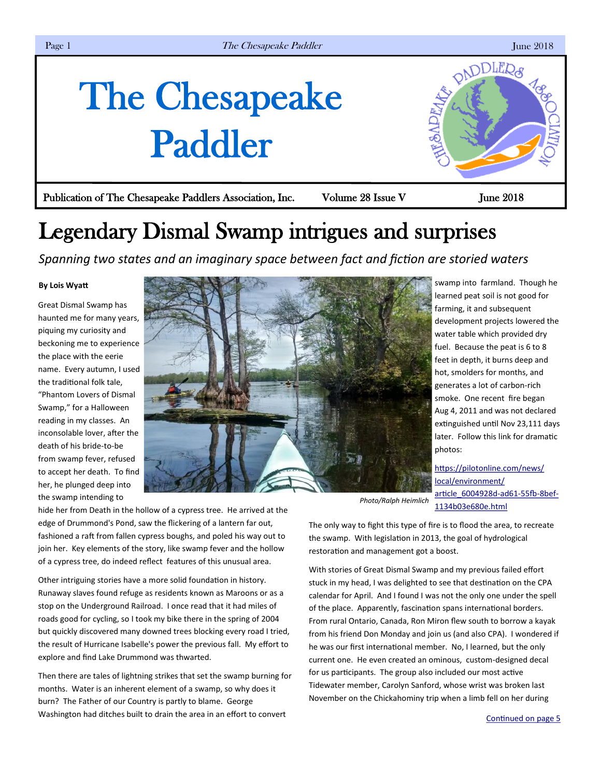# <span id="page-0-0"></span>The Chesapeake Paddler



## Legendary Dismal Swamp intrigues and surprises

*Spanning two states and an imaginary space between fact and fiction are storied waters* 

### **By Lois Wyatt**

Great Dismal Swamp has haunted me for many years, piquing my curiosity and beckoning me to experience the place with the eerie name. Every autumn, I used the traditional folk tale, "Phantom Lovers of Dismal Swamp," for a Halloween reading in my classes. An inconsolable lover, after the death of his bride-to-be from swamp fever, refused to accept her death. To find her, he plunged deep into the swamp intending to



hide her from Death in the hollow of a cypress tree. He arrived at the edge of Drummond's Pond, saw the flickering of a lantern far out, fashioned a raft from fallen cypress boughs, and poled his way out to join her. Key elements of the story, like swamp fever and the hollow of a cypress tree, do indeed reflect features of this unusual area.

Other intriguing stories have a more solid foundation in history. Runaway slaves found refuge as residents known as Maroons or as a stop on the Underground Railroad. I once read that it had miles of roads good for cycling, so I took my bike there in the spring of 2004 but quickly discovered many downed trees blocking every road I tried, the result of Hurricane Isabelle's power the previous fall. My effort to explore and find Lake Drummond was thwarted.

Then there are tales of lightning strikes that set the swamp burning for months. Water is an inherent element of a swamp, so why does it burn? The Father of our Country is partly to blame. George Washington had ditches built to drain the area in an effort to convert

swamp into farmland. Though he learned peat soil is not good for farming, it and subsequent development projects lowered the water table which provided dry fuel. Because the peat is 6 to 8 feet in depth, it burns deep and hot, smolders for months, and generates a lot of carbon-rich smoke. One recent fire began Aug 4, 2011 and was not declared extinguished until Nov 23,111 days later. Follow this link for dramatic photos:

[https://pilotonline.com/news/](https://pilotonline.com/news/local/environment/article_6004928d-ad61-55fb-8bef-1134b03e680e.html) [local/environment/](https://pilotonline.com/news/local/environment/article_6004928d-ad61-55fb-8bef-1134b03e680e.html) [article\\_6004928d](https://pilotonline.com/news/local/environment/article_6004928d-ad61-55fb-8bef-1134b03e680e.html)-ad61-55fb-8bef-[1134b03e680e.html](https://pilotonline.com/news/local/environment/article_6004928d-ad61-55fb-8bef-1134b03e680e.html)

The only way to fight this type of fire is to flood the area, to recreate the swamp. With legislation in 2013, the goal of hydrological restoration and management got a boost.

With stories of Great Dismal Swamp and my previous failed effort stuck in my head, I was delighted to see that destination on the CPA calendar for April. And I found I was not the only one under the spell of the place. Apparently, fascination spans international borders. From rural Ontario, Canada, Ron Miron flew south to borrow a kayak from his friend Don Monday and join us (and also CPA). I wondered if he was our first international member. No, I learned, but the only current one. He even created an ominous, custom-designed decal for us participants. The group also included our most active Tidewater member, Carolyn Sanford, whose wrist was broken last November on the Chickahominy trip when a limb fell on her during

PADDLERS